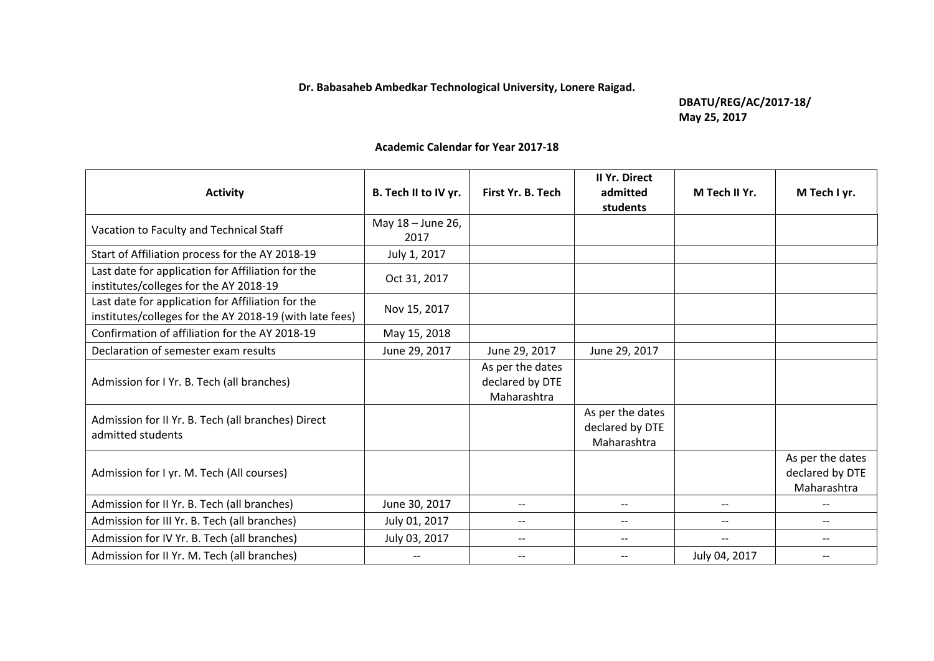**Dr. Babasaheb Ambedkar Technological University, Lonere Raigad.** 

**DBATU/REG/AC/2017-18/ May 25, 2017**

## **Academic Calendar for Year 2017-18**

| <b>Activity</b>                                                                                              | B. Tech II to IV yr.      | First Yr. B. Tech                                  | <b>II Yr. Direct</b><br>admitted<br>students       | M Tech II Yr. | M Tech I yr.                                       |
|--------------------------------------------------------------------------------------------------------------|---------------------------|----------------------------------------------------|----------------------------------------------------|---------------|----------------------------------------------------|
| Vacation to Faculty and Technical Staff                                                                      | May 18 - June 26,<br>2017 |                                                    |                                                    |               |                                                    |
| Start of Affiliation process for the AY 2018-19                                                              | July 1, 2017              |                                                    |                                                    |               |                                                    |
| Last date for application for Affiliation for the<br>institutes/colleges for the AY 2018-19                  | Oct 31, 2017              |                                                    |                                                    |               |                                                    |
| Last date for application for Affiliation for the<br>institutes/colleges for the AY 2018-19 (with late fees) | Nov 15, 2017              |                                                    |                                                    |               |                                                    |
| Confirmation of affiliation for the AY 2018-19                                                               | May 15, 2018              |                                                    |                                                    |               |                                                    |
| Declaration of semester exam results                                                                         | June 29, 2017             | June 29, 2017                                      | June 29, 2017                                      |               |                                                    |
| Admission for I Yr. B. Tech (all branches)                                                                   |                           | As per the dates<br>declared by DTE<br>Maharashtra |                                                    |               |                                                    |
| Admission for II Yr. B. Tech (all branches) Direct<br>admitted students                                      |                           |                                                    | As per the dates<br>declared by DTE<br>Maharashtra |               |                                                    |
| Admission for I yr. M. Tech (All courses)                                                                    |                           |                                                    |                                                    |               | As per the dates<br>declared by DTE<br>Maharashtra |
| Admission for II Yr. B. Tech (all branches)                                                                  | June 30, 2017             | --                                                 | $\qquad \qquad -$                                  | --            |                                                    |
| Admission for III Yr. B. Tech (all branches)                                                                 | July 01, 2017             |                                                    |                                                    |               |                                                    |
| Admission for IV Yr. B. Tech (all branches)                                                                  | July 03, 2017             | $\qquad \qquad -$                                  | $\overline{\phantom{a}}$                           | $- -$         | $\qquad \qquad -$                                  |
| Admission for II Yr. M. Tech (all branches)                                                                  |                           | $- -$                                              | $\overline{\phantom{a}}$                           | July 04, 2017 |                                                    |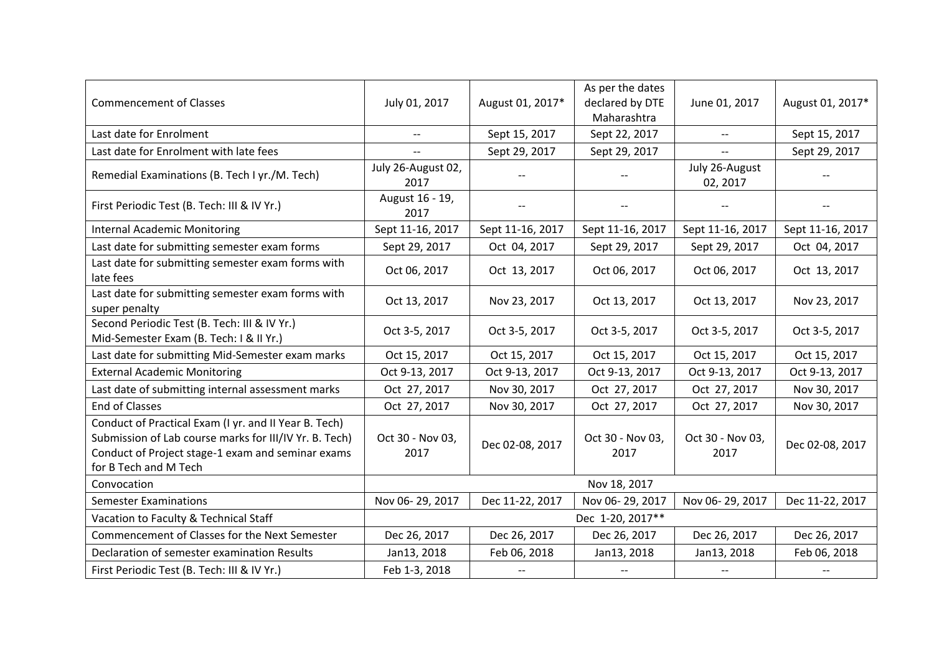| <b>Commencement of Classes</b>                                                                                                                                                                | July 01, 2017              | August 01, 2017* | As per the dates<br>declared by DTE<br>Maharashtra | June 01, 2017              | August 01, 2017* |  |
|-----------------------------------------------------------------------------------------------------------------------------------------------------------------------------------------------|----------------------------|------------------|----------------------------------------------------|----------------------------|------------------|--|
| Last date for Enrolment                                                                                                                                                                       | $\overline{\phantom{a}}$   | Sept 15, 2017    | Sept 22, 2017                                      | $- -$                      | Sept 15, 2017    |  |
| Last date for Enrolment with late fees                                                                                                                                                        | $- -$                      | Sept 29, 2017    | Sept 29, 2017                                      | $-$                        | Sept 29, 2017    |  |
| Remedial Examinations (B. Tech I yr./M. Tech)                                                                                                                                                 | July 26-August 02,<br>2017 |                  |                                                    | July 26-August<br>02, 2017 |                  |  |
| First Periodic Test (B. Tech: III & IV Yr.)                                                                                                                                                   | August 16 - 19,<br>2017    |                  |                                                    |                            |                  |  |
| <b>Internal Academic Monitoring</b>                                                                                                                                                           | Sept 11-16, 2017           | Sept 11-16, 2017 | Sept 11-16, 2017                                   | Sept 11-16, 2017           | Sept 11-16, 2017 |  |
| Last date for submitting semester exam forms                                                                                                                                                  | Sept 29, 2017              | Oct 04, 2017     | Sept 29, 2017                                      | Sept 29, 2017              | Oct 04, 2017     |  |
| Last date for submitting semester exam forms with<br>late fees                                                                                                                                | Oct 06, 2017               | Oct 13, 2017     | Oct 06, 2017                                       | Oct 06, 2017               | Oct 13, 2017     |  |
| Last date for submitting semester exam forms with<br>super penalty                                                                                                                            | Oct 13, 2017               | Nov 23, 2017     | Oct 13, 2017                                       | Oct 13, 2017               | Nov 23, 2017     |  |
| Second Periodic Test (B. Tech: III & IV Yr.)<br>Mid-Semester Exam (B. Tech: I & II Yr.)                                                                                                       | Oct 3-5, 2017              | Oct 3-5, 2017    | Oct 3-5, 2017                                      | Oct 3-5, 2017              | Oct 3-5, 2017    |  |
| Last date for submitting Mid-Semester exam marks                                                                                                                                              | Oct 15, 2017               | Oct 15, 2017     | Oct 15, 2017                                       | Oct 15, 2017               | Oct 15, 2017     |  |
| <b>External Academic Monitoring</b>                                                                                                                                                           | Oct 9-13, 2017             | Oct 9-13, 2017   | Oct 9-13, 2017                                     | Oct 9-13, 2017             | Oct 9-13, 2017   |  |
| Last date of submitting internal assessment marks                                                                                                                                             | Oct 27, 2017               | Nov 30, 2017     | Oct 27, 2017                                       | Oct 27, 2017               | Nov 30, 2017     |  |
| End of Classes                                                                                                                                                                                | Oct 27, 2017               | Nov 30, 2017     | Oct 27, 2017                                       | Oct 27, 2017               | Nov 30, 2017     |  |
| Conduct of Practical Exam (I yr. and II Year B. Tech)<br>Submission of Lab course marks for III/IV Yr. B. Tech)<br>Conduct of Project stage-1 exam and seminar exams<br>for B Tech and M Tech | Oct 30 - Nov 03,<br>2017   | Dec 02-08, 2017  | Oct 30 - Nov 03,<br>2017                           | Oct 30 - Nov 03,<br>2017   | Dec 02-08, 2017  |  |
| Convocation                                                                                                                                                                                   | Nov 18, 2017               |                  |                                                    |                            |                  |  |
| <b>Semester Examinations</b>                                                                                                                                                                  | Nov 06-29, 2017            | Dec 11-22, 2017  | Nov 06-29, 2017                                    | Nov 06-29, 2017            | Dec 11-22, 2017  |  |
| Vacation to Faculty & Technical Staff                                                                                                                                                         | Dec 1-20, 2017**           |                  |                                                    |                            |                  |  |
| Commencement of Classes for the Next Semester                                                                                                                                                 | Dec 26, 2017               | Dec 26, 2017     | Dec 26, 2017                                       | Dec 26, 2017               | Dec 26, 2017     |  |
| Declaration of semester examination Results                                                                                                                                                   | Jan13, 2018                | Feb 06, 2018     | Jan13, 2018                                        | Jan13, 2018                | Feb 06, 2018     |  |
| First Periodic Test (B. Tech: III & IV Yr.)                                                                                                                                                   | Feb 1-3, 2018              |                  |                                                    |                            |                  |  |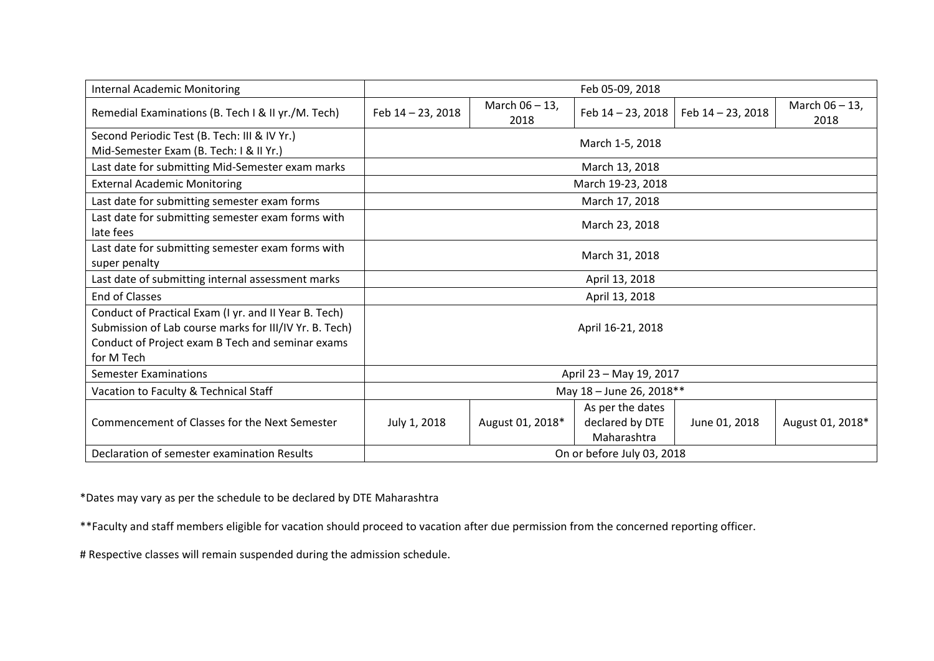| <b>Internal Academic Monitoring</b>                                                                                                                                               | Feb 05-09, 2018            |                        |                                                    |                   |                           |  |  |
|-----------------------------------------------------------------------------------------------------------------------------------------------------------------------------------|----------------------------|------------------------|----------------------------------------------------|-------------------|---------------------------|--|--|
| Remedial Examinations (B. Tech I & II yr./M. Tech)                                                                                                                                | Feb 14 - 23, 2018          | March 06 - 13,<br>2018 | Feb 14 - 23, 2018                                  | Feb 14 - 23, 2018 | March $06 - 13$ ,<br>2018 |  |  |
| Second Periodic Test (B. Tech: III & IV Yr.)<br>Mid-Semester Exam (B. Tech: I & II Yr.)                                                                                           | March 1-5, 2018            |                        |                                                    |                   |                           |  |  |
| Last date for submitting Mid-Semester exam marks                                                                                                                                  | March 13, 2018             |                        |                                                    |                   |                           |  |  |
| <b>External Academic Monitoring</b>                                                                                                                                               | March 19-23, 2018          |                        |                                                    |                   |                           |  |  |
| Last date for submitting semester exam forms                                                                                                                                      | March 17, 2018             |                        |                                                    |                   |                           |  |  |
| Last date for submitting semester exam forms with<br>late fees                                                                                                                    | March 23, 2018             |                        |                                                    |                   |                           |  |  |
| Last date for submitting semester exam forms with<br>super penalty                                                                                                                | March 31, 2018             |                        |                                                    |                   |                           |  |  |
| Last date of submitting internal assessment marks                                                                                                                                 | April 13, 2018             |                        |                                                    |                   |                           |  |  |
| <b>End of Classes</b>                                                                                                                                                             | April 13, 2018             |                        |                                                    |                   |                           |  |  |
| Conduct of Practical Exam (I yr. and II Year B. Tech)<br>Submission of Lab course marks for III/IV Yr. B. Tech)<br>Conduct of Project exam B Tech and seminar exams<br>for M Tech | April 16-21, 2018          |                        |                                                    |                   |                           |  |  |
| <b>Semester Examinations</b>                                                                                                                                                      | April 23 - May 19, 2017    |                        |                                                    |                   |                           |  |  |
| Vacation to Faculty & Technical Staff                                                                                                                                             | May 18 - June 26, 2018**   |                        |                                                    |                   |                           |  |  |
| Commencement of Classes for the Next Semester                                                                                                                                     | July 1, 2018               | August 01, 2018*       | As per the dates<br>declared by DTE<br>Maharashtra | June 01, 2018     | August 01, 2018*          |  |  |
| Declaration of semester examination Results                                                                                                                                       | On or before July 03, 2018 |                        |                                                    |                   |                           |  |  |

\*Dates may vary as per the schedule to be declared by DTE Maharashtra

\*\*Faculty and staff members eligible for vacation should proceed to vacation after due permission from the concerned reporting officer.

# Respective classes will remain suspended during the admission schedule.